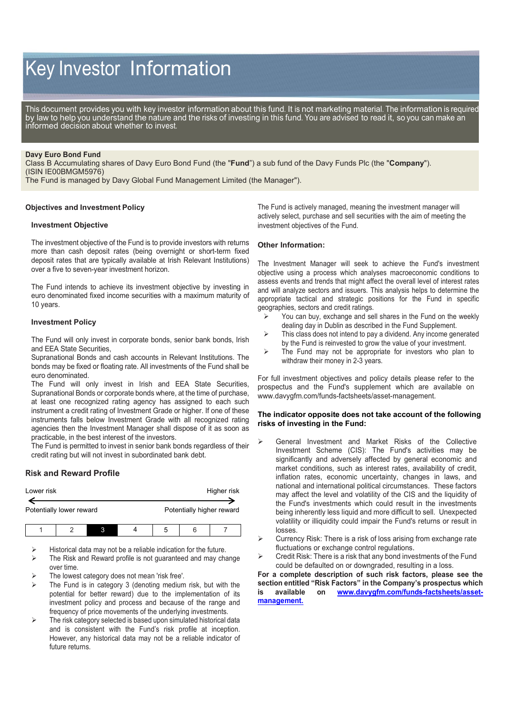# Key Investor Information

This document provides you with key investor information about this fund. It is not marketing material. The information is required by law to help you understand the nature and the risks of investing in this fund. You are advised to read it, so you can make an informed decision about whether to invest.

#### **Davy Euro Bond Fund**

Class B Accumulating shares of Davy Euro Bond Fund (the "**Fund**") a sub fund of the Davy Funds Plc (the "**Company**"). (ISIN IE00BMGM5976)

The Fund is managed by Davy Global Fund Management Limited (the Manager").

## **Objectives and Investment Policy**

#### **Investment Objective**

The investment objective of the Fund is to provide investors with returns more than cash deposit rates (being overnight or short-term fixed deposit rates that are typically available at Irish Relevant Institutions) over a five to seven-year investment horizon.

The Fund intends to achieve its investment objective by investing in euro denominated fixed income securities with a maximum maturity of 10 years.

### **Investment Policy**

The Fund will only invest in corporate bonds, senior bank bonds, Irish and EEA State Securities,

Supranational Bonds and cash accounts in Relevant Institutions. The bonds may be fixed or floating rate. All investments of the Fund shall be euro denominated.

The Fund will only invest in Irish and EEA State Securities, Supranational Bonds or corporate bonds where, at the time of purchase, at least one recognized rating agency has assigned to each such instrument a credit rating of Investment Grade or higher. If one of these instruments falls below Investment Grade with all recognized rating agencies then the Investment Manager shall dispose of it as soon as practicable, in the best interest of the investors.

The Fund is permitted to invest in senior bank bonds regardless of their credit rating but will not invest in subordinated bank debt.

# **Risk and Reward Profile**

| Lower risk               |  |  |  | Higher risk |                           |  |  |
|--------------------------|--|--|--|-------------|---------------------------|--|--|
| Potentially lower reward |  |  |  |             | Potentially higher reward |  |  |
|                          |  |  |  | 5           | ี                         |  |  |

Historical data may not be a reliable indication for the future.

 The Risk and Reward profile is not guaranteed and may change over time.

- The lowest category does not mean 'risk free'.
- The Fund is in category 3 (denoting medium risk, but with the potential for better reward) due to the implementation of its investment policy and process and because of the range and frequency of price movements of the underlying investments.
- The risk category selected is based upon simulated historical data and is consistent with the Fund's risk profile at inception. However, any historical data may not be a reliable indicator of future returns.

The Fund is actively managed, meaning the investment manager will actively select, purchase and sell securities with the aim of meeting the investment objectives of the Fund.

#### **Other Information:**

The Investment Manager will seek to achieve the Fund's investment objective using a process which analyses macroeconomic conditions to assess events and trends that might affect the overall level of interest rates and will analyze sectors and issuers. This analysis helps to determine the appropriate tactical and strategic positions for the Fund in specific geographies, sectors and credit ratings.

- $\triangleright$  You can buy, exchange and sell shares in the Fund on the weekly dealing day in Dublin as described in the Fund Supplement.
- $\triangleright$  This class does not intend to pay a dividend. Any income generated by the Fund is reinvested to grow the value of your investment.
- $\triangleright$  The Fund may not be appropriate for investors who plan to withdraw their money in 2-3 years.

For full investment objectives and policy details please refer to the prospectus and the Fund's supplement which are available on [www.davygfm.com/funds-factsheets/asset-management.](http://www.davygfm.com/funds-factsheets/asset-management)

## **The indicator opposite does not take account of the following risks of investing in the Fund:**

- General Investment and Market Risks of the Collective Investment Scheme (CIS): The Fund's activities may be significantly and adversely affected by general economic and market conditions, such as interest rates, availability of credit, inflation rates, economic uncertainty, changes in laws, and national and international political circumstances. These factors may affect the level and volatility of the CIS and the liquidity of the Fund's investments which could result in the investments being inherently less liquid and more difficult to sell. Unexpected volatility or illiquidity could impair the Fund's returns or result in losses.
- Currency Risk: There is a risk of loss arising from exchange rate fluctuations or exchange control regulations.
- Credit Risk: There is a risk that any bond investments of the Fund could be defaulted on or downgraded, resulting in a loss.

**For a complete description of such risk factors, please see the section entitled "Risk Factors" in the Company's prospectus which is available on [www.davygfm.com/funds-factsheets/asset](http://www.davygfm.com/funds-factsheets/asset-management)[management.](http://www.davygfm.com/funds-factsheets/asset-management)**